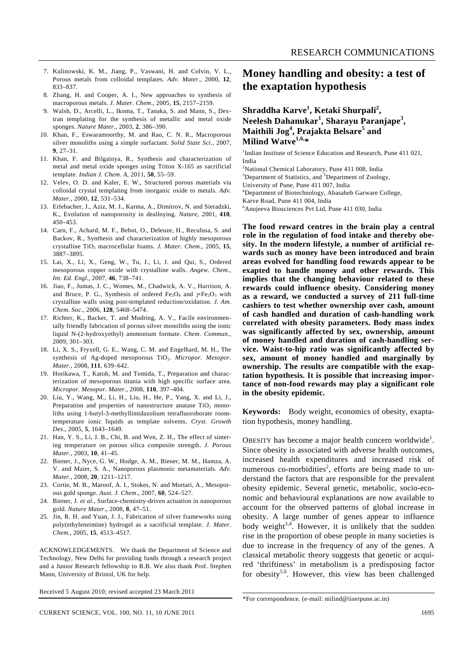- 7. Kulinowski, K. M., Jiang, P., Vaswani, H. and Colvin, V. L., Porous metals from colloidal templates. *Adv. Mater*., 2000, **12**, 833–837.
- 8. Zhang, H. and Cooper, A. I., New approaches to synthesis of macroporous metals. *J. Mater. Chem*., 2005, **15**, 2157–2159.
- 9. Walsh, D., Arcelli, L., Ikoma, T., Tanaka, S. and Mann, S., Dextran templating for the synthesis of metallic and metal oxide sponges. *Nature Mater*., 2003, **2**, 386–390.
- 10. Khan, F., Eswaramoorthy, M. and Rao, C. N. R., Macroporous silver monoliths using a simple surfactant. *Solid State Sci*., 2007, **9**, 27–31.
- 11. Khan, F. and Bilgainya, R., Synthesis and characterization of metal and metal oxide sponges using Triton X-165 as sacrificial template. *Indian J. Chem*. *A*, 2011, **50**, 55–59.
- 12. Velev, O. D. and Kaler, E. W., Structured porous materials via colloidal crystal templating from inorganic oxide to metals. *Adv. Mater*., 2000, **12**, 531–534.
- 13. Erlebacher, J., Aziz, M. J., Karma, A., Dimitrov, N. and Sieradzki, K., Evolution of nanoporosity in dealloying. *Nature*, 2001, **410**, 450–453.
- 14. Carn, F., Achard, M. F., Bebot, O., Deleuze, H., Reculusa, S. and Backov, R., Synthesis and characterization of highly mesoporous crystalline TiO2 macrocellular foams. *J. Mater. Chem*., 2005, **15**, 3887–3895.
- 15. Lai, X., Li, X., Geng, W., Tu, J., Li, J. and Qui, S., Ordered mesoporous copper oxide with crystalline walls. *Angew. Chem.*, *Int. Ed*. *Engl.*, 2007, **46**, 738–741.
- 16. Jiao, F., Jumas, J. C., Womes, M., Chadwick, A. V., Harrison, A. and Bruce, P. G., Synthesis of ordered Fe<sub>2</sub>O<sub>4</sub> and  $\gamma$ -Fe<sub>2</sub>O<sub>3</sub> with crystalline walls using post-templated reduction/oxidation. *J. Am. Chem. Soc*., 2006, **128**, 5468–5474.
- 17. Richter, K., Backer, T. and Mudring, A. V., Facile environmentally friendly fabrication of porous silver monoliths using the ionic liquid N-(2-hydroxyethyl) ammonium formate. *Chem. Commun*., 2009, 301–303.
- 18. Li, X. S., Fryxell, G. E., Wang, C. M. and Engelhard, M. H., The synthesis of Ag-doped mesoporous TiO<sub>2</sub>. *Micropor. Mesopor. Mater.*, 2008, **111**, 639–642.
- 19. Horikawa, T., Katoh, M. and Tomida, T., Preparation and characterization of mesoporous titania with high specific surface area. *Micropor. Mesopor. Mater*., 2008, **110**, 397–404.
- 20. Liu, Y., Wang, M., Li, H., Liu, H., He, P., Yang, X. and Li, J., Preparation and properties of nanostructure anatase  $TiO<sub>2</sub>$  monoliths using 1-butyl-3-methyllimidazolium tetrafluoroborate roomtemperature ionic liquids as template solvents. *Cryst. Growth Des*., 2005, **5**, 1643–1649.
- 21. Han, Y. S., Li, J. B., Chi, B. and Wen, Z. H., The effect of sintering temperature on porous silica composite strength. *J. Porous Mater*., 2003, **10**, 41–45.
- 22. Biener, J., Nyce, G. W., Hodge, A. M., Biener, M. M., Hamza, A. V. and Maier, S. A., Nanoporous plasmonic metamaterials. *Adv. Mater*., 2008, **20**, 1211–1217.
- 23. Cortie, M. B., Maroof, A. I., Stokes, N. and Mortari, A., Mesoporous gold sponge. *Aust. J. Chem*., 2007, **60**, 524–527.
- 24. Biener, J. *et al.*, Surface-chemistry-driven actuation in nanoporous gold. *Nature Mater*., 2008, **8**, 47–51.
- 25. Jin, R. H. and Yuan, J. J., Fabrication of silver frameworks using poly(ethyleneimine) hydrogel as a sacrificial template. *J. Mater. Chem*., 2005, **15**, 4513–4517.

ACKNOWLEDGEMENTS. We thank the Department of Science and Technology, New Delhi for providing funds through a research project and a Junior Research fellowship to R.B. We also thank Prof. Stephen Mann, University of Bristol, UK for help.

Received 5 August 2010; revised accepted 23 March 2011

## **Money handling and obesity: a test of the exaptation hypothesis**

## **Shraddha Karve<sup>1</sup> , Ketaki Shurpali<sup>2</sup> , Neelesh Dahanukar<sup>1</sup> , Sharayu Paranjape<sup>3</sup> , Maithili Jog<sup>4</sup> , Prajakta Belsare<sup>5</sup> and Milind Watve1,6,\***

<sup>1</sup>Indian Institute of Science Education and Research, Pune 411 021, India

<sup>2</sup>National Chemical Laboratory, Pune 411 008, India  $3$ Department of Statistics, and  $5$ Department of Zoology, University of Pune, Pune 411 007, India 4 Department of Biotechnology, Abasaheb Garware College, Karve Road, Pune 411 004, India 6 Anujeeva Biosciences Pvt Ltd, Pune 411 030, India

**The food reward centres in the brain play a central role in the regulation of food intake and thereby obesity. In the modern lifestyle, a number of artificial rewards such as money have been introduced and brain areas evolved for handling food rewards appear to be exapted to handle money and other rewards. This implies that the changing behaviour related to these rewards could influence obesity. Considering money as a reward, we conducted a survey of 211 full-time cashiers to test whether ownership over cash, amount of cash handled and duration of cash-handling work correlated with obesity parameters. Body mass index was significantly affected by sex, ownership, amount of money handled and duration of cash-handling service. Waist-to-hip ratio was significantly affected by sex, amount of money handled and marginally by ownership. The results are compatible with the exaptation hypothesis. It is possible that increasing importance of non-food rewards may play a significant role in the obesity epidemic.** 

**Keywords:** Body weight, economics of obesity, exaptation hypothesis, money handling.

OBESITY has become a major health concern worldwide<sup>1</sup>. Since obesity is associated with adverse health outcomes, increased health expenditures and increased risk of numerous co-morbidities<sup>2</sup>, efforts are being made to understand the factors that are responsible for the prevalent obesity epidemic. Several genetic, metabolic, socio-economic and behavioural explanations are now available to account for the observed patterns of global increase in obesity. A large number of genes appear to influence body weight<sup>3,4</sup>. However, it is unlikely that the sudden rise in the proportion of obese people in many societies is due to increase in the frequency of any of the genes. A classical metabolic theory suggests that genetic or acquired 'thriftiness' in metabolism is a predisposing factor for obesity<sup>5,6</sup>. However, this view has been challenged

<sup>\*</sup>For correspondence. (e-mail: milind@iiserpune.ac.in)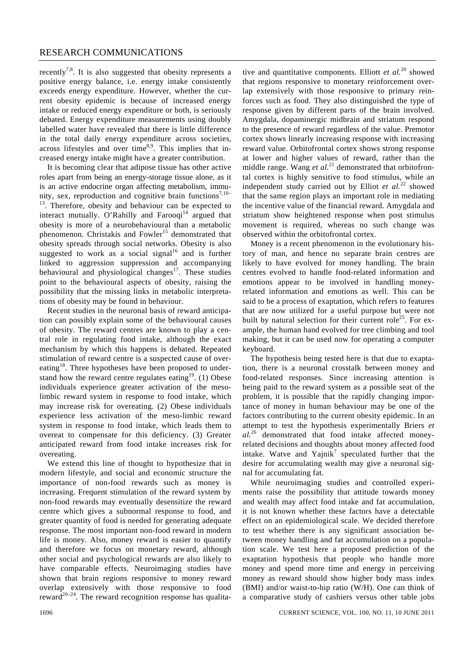recently<sup>7,8</sup>. It is also suggested that obesity represents a positive energy balance, i.e. energy intake consistently exceeds energy expenditure. However, whether the current obesity epidemic is because of increased energy intake or reduced energy expenditure or both, is seriously debated. Energy expenditure measurements using doubly labelled water have revealed that there is little difference in the total daily energy expenditure across societies, across lifestyles and over time $8.9$ . This implies that increased energy intake might have a greater contribution.

 It is becoming clear that adipose tissue has other active roles apart from being an energy-storage tissue alone, as it is an active endocrine organ affecting metabolism, immunity, sex, reproduction and cognitive brain functions<sup>7,10–</sup>  $13$ . Therefore, obesity and behaviour can be expected to interact mutually. O'Rahilly and Farooqi<sup>14</sup> argued that obesity is more of a neurobehavioural than a metabolic phenomenon. Christakis and  $F(\text{over}^{15})$  demonstrated that obesity spreads through social networks. Obesity is also suggested to work as a social signal<sup>16</sup> and is further linked to aggression suppression and accompanying behavioural and physiological changes<sup>17</sup>. These studies point to the behavioural aspects of obesity, raising the possibility that the missing links in metabolic interpretations of obesity may be found in behaviour.

 Recent studies in the neuronal basis of reward anticipation can possibly explain some of the behavioural causes of obesity. The reward centres are known to play a central role in regulating food intake, although the exact mechanism by which this happens is debated. Repeated stimulation of reward centre is a suspected cause of overeating<sup>18</sup>. Three hypotheses have been proposed to understand how the reward centre regulates eating<sup>19</sup>. (1) Obese individuals experience greater activation of the mesolimbic reward system in response to food intake, which may increase risk for overeating. (2) Obese individuals experience less activation of the meso-limbic reward system in response to food intake, which leads them to overeat to compensate for this deficiency. (3) Greater anticipated reward from food intake increases risk for overeating.

 We extend this line of thought to hypothesize that in modern lifestyle, and social and economic structure the importance of non-food rewards such as money is increasing. Frequent stimulation of the reward system by non-food rewards may eventually desensitize the reward centre which gives a subnormal response to food, and greater quantity of food is needed for generating adequate response. The most important non-food reward in modern life is money. Also, money reward is easier to quantify and therefore we focus on monetary reward, although other social and psychological rewards are also likely to have comparable effects. Neuroimaging studies have shown that brain regions responsive to money reward overlap extensively with those responsive to food reward<sup>20–24</sup>. The reward recognition response has qualitative and quantitative components. Elliott *et al.*20 showed that regions responsive to monetary reinforcement overlap extensively with those responsive to primary reinforces such as food. They also distinguished the type of response given by different parts of the brain involved. Amygdala, dopaminergic midbrain and striatum respond to the presence of reward regardless of the value. Premotor cortex shows linearly increasing response with increasing reward value. Orbitofrontal cortex shows strong response at lower and higher values of reward, rather than the middle range. Wang *et al.*<sup>21</sup> demonstrated that orbitofrontal cortex is highly sensitive to food stimulus, while an independent study carried out by Elliot *et al.*22 showed that the same region plays an important role in mediating the incentive value of the financial reward. Amygdala and striatum show heightened response when post stimulus movement is required, whereas no such change was observed within the orbitofrontal cortex.

 Money is a recent phenomenon in the evolutionary history of man, and hence no separate brain centres are likely to have evolved for money handling. The brain centres evolved to handle food-related information and emotions appear to be involved in handling moneyrelated information and emotions as well. This can be said to be a process of exaptation, which refers to features that are now utilized for a useful purpose but were not built by natural selection for their current role<sup>25</sup>. For example, the human hand evolved for tree climbing and tool making, but it can be used now for operating a computer keyboard.

 The hypothesis being tested here is that due to exaptation, there is a neuronal crosstalk between money and food-related responses. Since increasing attention is being paid to the reward system as a possible seat of the problem, it is possible that the rapidly changing importance of money in human behaviour may be one of the factors contributing to the current obesity epidemic. In an attempt to test the hypothesis experimentally Briers *et al.*26 demonstrated that food intake affected moneyrelated decisions and thoughts about money affected food intake. Watve and Yajnik<sup>7</sup> speculated further that the desire for accumulating wealth may give a neuronal signal for accumulating fat.

 While neuroimaging studies and controlled experiments raise the possibility that attitude towards money and wealth may affect food intake and fat accumulation, it is not known whether these factors have a detectable effect on an epidemiological scale. We decided therefore to test whether there is any significant association between money handling and fat accumulation on a population scale. We test here a proposed prediction of the exaptation hypothesis that people who handle more money and spend more time and energy in perceiving money as reward should show higher body mass index (BMI) and/or waist-to-hip ratio (W/H). One can think of a comparative study of cashiers versus other table jobs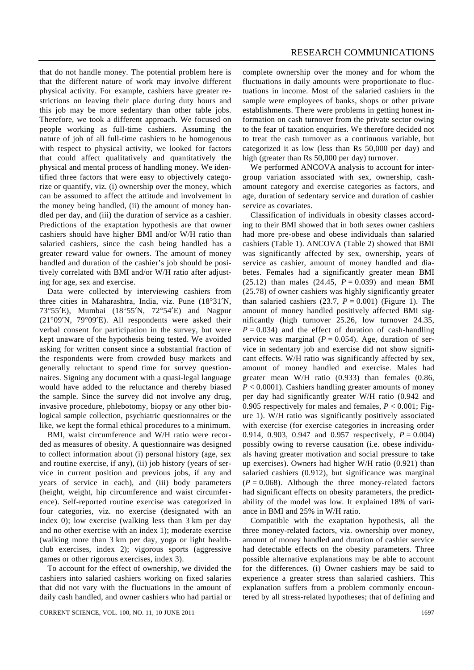that do not handle money. The potential problem here is that the different nature of work may involve different physical activity. For example, cashiers have greater restrictions on leaving their place during duty hours and this job may be more sedentary than other table jobs. Therefore, we took a different approach. We focused on people working as full-time cashiers. Assuming the nature of job of all full-time cashiers to be homogenous with respect to physical activity, we looked for factors that could affect qualitatively and quantitatively the physical and mental process of handling money. We identified three factors that were easy to objectively categorize or quantify, viz. (i) ownership over the money, which can be assumed to affect the attitude and involvement in the money being handled, (ii) the amount of money handled per day, and (iii) the duration of service as a cashier. Predictions of the exaptation hypothesis are that owner cashiers should have higher BMI and/or W/H ratio than salaried cashiers, since the cash being handled has a greater reward value for owners. The amount of money handled and duration of the cashier's job should be positively correlated with BMI and/or W/H ratio after adjusting for age, sex and exercise.

 Data were collected by interviewing cashiers from three cities in Maharashtra, India, viz. Pune (18°31′N, 73°55′E), Mumbai (18°55′N, 72°54′E) and Nagpur (21°09′N, 79°09′E). All respondents were asked their verbal consent for participation in the survey, but were kept unaware of the hypothesis being tested. We avoided asking for written consent since a substantial fraction of the respondents were from crowded busy markets and generally reluctant to spend time for survey questionnaires. Signing any document with a quasi-legal language would have added to the reluctance and thereby biased the sample. Since the survey did not involve any drug, invasive procedure, phlebotomy, biopsy or any other biological sample collection, psychiatric questionnaires or the like, we kept the formal ethical procedures to a minimum.

 BMI, waist circumference and W/H ratio were recorded as measures of obesity. A questionnaire was designed to collect information about (i) personal history (age, sex and routine exercise, if any), (ii) job history (years of service in current position and previous jobs, if any and years of service in each), and (iii) body parameters (height, weight, hip circumference and waist circumference). Self-reported routine exercise was categorized in four categories, viz. no exercise (designated with an index 0); low exercise (walking less than 3 km per day and no other exercise with an index 1); moderate exercise (walking more than 3 km per day, yoga or light healthclub exercises, index 2); vigorous sports (aggressive games or other rigorous exercises, index 3).

 To account for the effect of ownership, we divided the cashiers into salaried cashiers working on fixed salaries that did not vary with the fluctuations in the amount of daily cash handled, and owner cashiers who had partial or complete ownership over the money and for whom the fluctuations in daily amounts were proportionate to fluctuations in income. Most of the salaried cashiers in the sample were employees of banks, shops or other private establishments. There were problems in getting honest information on cash turnover from the private sector owing to the fear of taxation enquiries. We therefore decided not to treat the cash turnover as a continuous variable, but categorized it as low (less than Rs 50,000 per day) and high (greater than Rs 50,000 per day) turnover.

 We performed ANCOVA analysis to account for intergroup variation associated with sex, ownership, cashamount category and exercise categories as factors, and age, duration of sedentary service and duration of cashier service as covariates.

 Classification of individuals in obesity classes according to their BMI showed that in both sexes owner cashiers had more pre-obese and obese individuals than salaried cashiers (Table 1). ANCOVA (Table 2) showed that BMI was significantly affected by sex, ownership, years of service as cashier, amount of money handled and diabetes. Females had a significantly greater mean BMI  $(25.12)$  than males  $(24.45, P = 0.039)$  and mean BMI (25.78) of owner cashiers was highly significantly greater than salaried cashiers  $(23.7, P = 0.001)$  (Figure 1). The amount of money handled positively affected BMI significantly (high turnover 25.26, low turnover 24.35,  $P = 0.034$ ) and the effect of duration of cash-handling service was marginal  $(P = 0.054)$ . Age, duration of service in sedentary job and exercise did not show significant effects. W/H ratio was significantly affected by sex, amount of money handled and exercise. Males had greater mean W/H ratio (0.933) than females (0.86, *P* < 0.0001). Cashiers handling greater amounts of money per day had significantly greater W/H ratio (0.942 and 0.905 respectively for males and females, *P* < 0.001; Figure 1). W/H ratio was significantly positively associated with exercise (for exercise categories in increasing order 0.914, 0.903, 0.947 and 0.957 respectively,  $P = 0.004$ ) possibly owing to reverse causation (i.e. obese individuals having greater motivation and social pressure to take up exercises). Owners had higher W/H ratio (0.921) than salaried cashiers (0.912), but significance was marginal  $(P = 0.068)$ . Although the three money-related factors had significant effects on obesity parameters, the predictability of the model was low. It explained 18% of variance in BMI and 25% in W/H ratio.

 Compatible with the exaptation hypothesis, all the three money-related factors, viz. ownership over money, amount of money handled and duration of cashier service had detectable effects on the obesity parameters. Three possible alternative explanations may be able to account for the differences. (i) Owner cashiers may be said to experience a greater stress than salaried cashiers. This explanation suffers from a problem commonly encountered by all stress-related hypotheses; that of defining and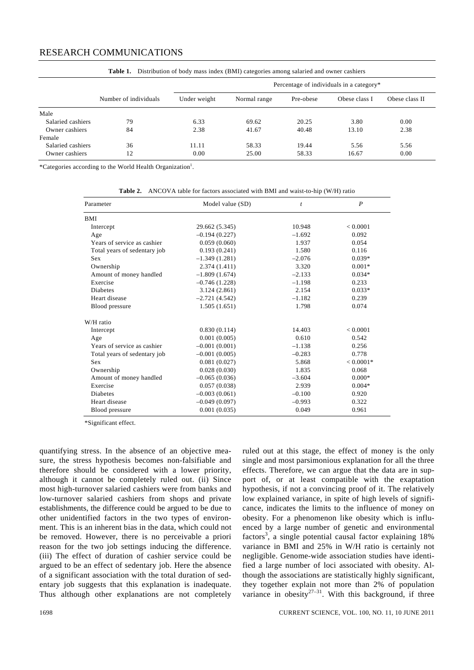## RESEARCH COMMUNICATIONS

| Those It - Brothromon of coup mass most (Brill) eacogoties among samiled and owners |                       |                                          |              |           |               |                |  |
|-------------------------------------------------------------------------------------|-----------------------|------------------------------------------|--------------|-----------|---------------|----------------|--|
|                                                                                     |                       | Percentage of individuals in a category* |              |           |               |                |  |
|                                                                                     | Number of individuals | Under weight                             | Normal range | Pre-obese | Obese class I | Obese class II |  |
| Male                                                                                |                       |                                          |              |           |               |                |  |
| Salaried cashiers                                                                   | 79                    | 6.33                                     | 69.62        | 20.25     | 3.80          | 0.00           |  |
| Owner cashiers                                                                      | 84                    | 2.38                                     | 41.67        | 40.48     | 13.10         | 2.38           |  |
| Female                                                                              |                       |                                          |              |           |               |                |  |
| Salaried cashiers                                                                   | 36                    | 11.11                                    | 58.33        | 19.44     | 5.56          | 5.56           |  |
| Owner cashiers                                                                      | 12                    | 0.00                                     | 25.00        | 58.33     | 16.67         | 0.00           |  |

**Table 1.** Distribution of body mass index (BMI) categories among salaried and owner cashiers

\*Categories according to the World Health Organization<sup>1</sup>.

| Parameter                    | Model value (SD) | $\mathfrak{t}$ | $\boldsymbol{P}$ |
|------------------------------|------------------|----------------|------------------|
| BMI                          |                  |                |                  |
| Intercept                    | 29.662 (5.345)   | 10.948         | < 0.0001         |
| Age                          | $-0.194(0.227)$  | $-1.692$       | 0.092            |
| Years of service as cashier  | 0.059(0.060)     | 1.937          | 0.054            |
| Total years of sedentary job | 0.193(0.241)     | 1.580          | 0.116            |
| <b>Sex</b>                   | $-1.349(1.281)$  | $-2.076$       | $0.039*$         |
| Ownership                    | 2.374 (1.411)    | 3.320          | $0.001*$         |
| Amount of money handled      | $-1.809(1.674)$  | $-2.133$       | $0.034*$         |
| Exercise                     | $-0.746(1.228)$  | $-1.198$       | 0.233            |
| <b>Diabetes</b>              | 3.124(2.861)     | 2.154          | $0.033*$         |
| Heart disease                | $-2.721(4.542)$  | $-1.182$       | 0.239            |
| Blood pressure               | 1.505(1.651)     | 1.798          | 0.074            |
| W/H ratio                    |                  |                |                  |
| Intercept                    | 0.830(0.114)     | 14.403         | < 0.0001         |
| Age                          | 0.001(0.005)     | 0.610          | 0.542            |
| Years of service as cashier  | $-0.001(0.001)$  | $-1.138$       | 0.256            |
| Total years of sedentary job | $-0.001(0.005)$  | $-0.283$       | 0.778            |
| <b>Sex</b>                   | 0.081(0.027)     | 5.868          | $< 0.0001*$      |
| Ownership                    | 0.028(0.030)     | 1.835          | 0.068            |
| Amount of money handled      | $-0.065(0.036)$  | $-3.604$       | $0.000*$         |
| Exercise                     | 0.057(0.038)     | 2.939          | $0.004*$         |
| <b>Diabetes</b>              | $-0.003(0.061)$  | $-0.100$       | 0.920            |
| Heart disease                | $-0.049(0.097)$  | $-0.993$       | 0.322            |
| Blood pressure               | 0.001(0.035)     | 0.049          | 0.961            |

**Table 2.** ANCOVA table for factors associated with BMI and waist-to-hip (W/H) ratio

\*Significant effect.

quantifying stress. In the absence of an objective measure, the stress hypothesis becomes non-falsifiable and therefore should be considered with a lower priority, although it cannot be completely ruled out. (ii) Since most high-turnover salaried cashiers were from banks and low-turnover salaried cashiers from shops and private establishments, the difference could be argued to be due to other unidentified factors in the two types of environment. This is an inherent bias in the data, which could not be removed. However, there is no perceivable a priori reason for the two job settings inducing the difference. (iii) The effect of duration of cashier service could be argued to be an effect of sedentary job. Here the absence of a significant association with the total duration of sedentary job suggests that this explanation is inadequate. Thus although other explanations are not completely ruled out at this stage, the effect of money is the only single and most parsimonious explanation for all the three effects. Therefore, we can argue that the data are in support of, or at least compatible with the exaptation hypothesis, if not a convincing proof of it. The relatively low explained variance, in spite of high levels of significance, indicates the limits to the influence of money on obesity. For a phenomenon like obesity which is influenced by a large number of genetic and environmental factors<sup>3</sup>, a single potential causal factor explaining  $18\%$ variance in BMI and 25% in W/H ratio is certainly not negligible. Genome-wide association studies have identified a large number of loci associated with obesity. Although the associations are statistically highly significant, they together explain not more than 2% of population variance in obesity<sup>27-31</sup>. With this background, if three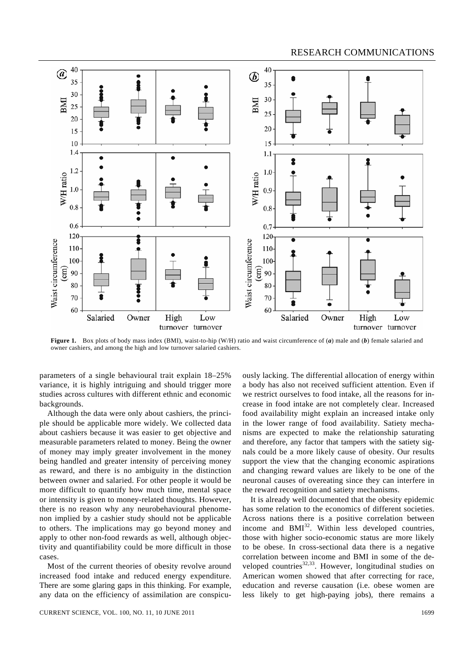

**Figure 1.** Box plots of body mass index (BMI), waist-to-hip (W/H) ratio and waist circumference of (*a*) male and (*b*) female salaried and owner cashiers, and among the high and low turnover salaried cashiers.

parameters of a single behavioural trait explain 18–25% variance, it is highly intriguing and should trigger more studies across cultures with different ethnic and economic backgrounds.

 Although the data were only about cashiers, the principle should be applicable more widely. We collected data about cashiers because it was easier to get objective and measurable parameters related to money. Being the owner of money may imply greater involvement in the money being handled and greater intensity of perceiving money as reward, and there is no ambiguity in the distinction between owner and salaried. For other people it would be more difficult to quantify how much time, mental space or intensity is given to money-related thoughts. However, there is no reason why any neurobehavioural phenomenon implied by a cashier study should not be applicable to others. The implications may go beyond money and apply to other non-food rewards as well, although objectivity and quantifiability could be more difficult in those cases.

 Most of the current theories of obesity revolve around increased food intake and reduced energy expenditure. There are some glaring gaps in this thinking. For example, any data on the efficiency of assimilation are conspicuously lacking. The differential allocation of energy within a body has also not received sufficient attention. Even if we restrict ourselves to food intake, all the reasons for increase in food intake are not completely clear. Increased food availability might explain an increased intake only in the lower range of food availability. Satiety mechanisms are expected to make the relationship saturating and therefore, any factor that tampers with the satiety signals could be a more likely cause of obesity. Our results support the view that the changing economic aspirations and changing reward values are likely to be one of the neuronal causes of overeating since they can interfere in the reward recognition and satiety mechanisms.

 It is already well documented that the obesity epidemic has some relation to the economics of different societies. Across nations there is a positive correlation between income and  $BMI<sup>32</sup>$ . Within less developed countries, those with higher socio-economic status are more likely to be obese. In cross-sectional data there is a negative correlation between income and BMI in some of the developed countries<sup>32,33</sup>. However, longitudinal studies on American women showed that after correcting for race, education and reverse causation (i.e. obese women are less likely to get high-paying jobs), there remains a